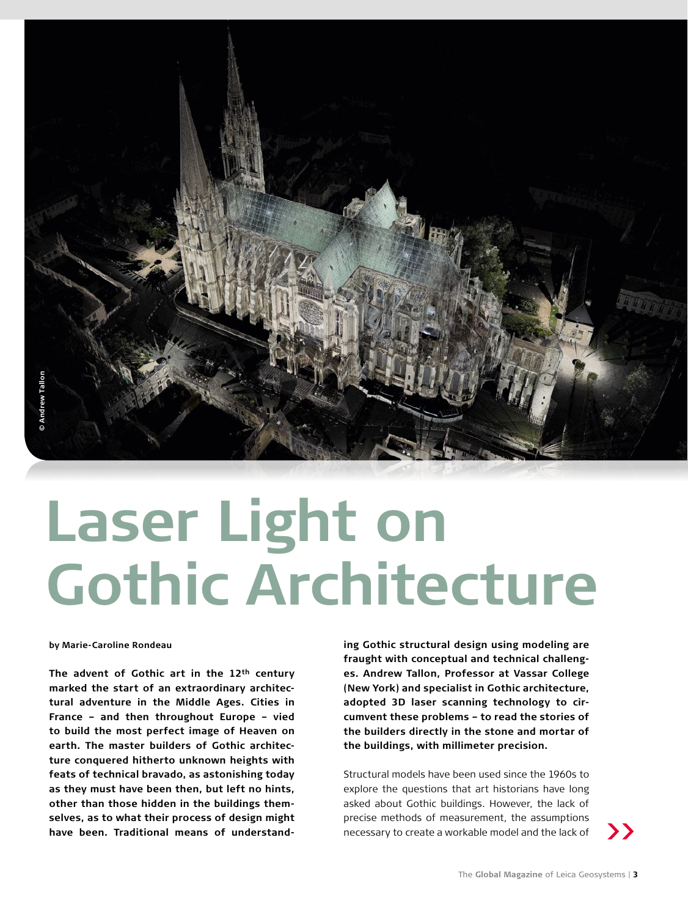

# **Laser Light on Gothic Architecture**

**by Marie-Caroline Rondeau** 

**The advent of Gothic art in the 12th century marked the start of an extraordinary architectural adventure in the Middle Ages. Cities in France – and then throughout Europe – vied to build the most perfect image of Heaven on earth. The master builders of Gothic architecture conquered hitherto unknown heights with feats of technical bravado, as astonishing today as they must have been then, but left no hints, other than those hidden in the buildings themselves, as to what their process of design might have been. Traditional means of understand-** **ing Gothic structural design using modeling are fraught with conceptual and technical challenges. Andrew Tallon, Professor at Vassar College (New York) and specialist in Gothic architecture, adopted 3D laser scanning technology to circumvent these problems – to read the stories of the builders directly in the stone and mortar of the buildings, with millimeter precision.** 

Structural models have been used since the 1960s to explore the questions that art historians have long asked about Gothic buildings. However, the lack of precise methods of measurement, the assumptions necessary to create a workable model and the lack of

**>>**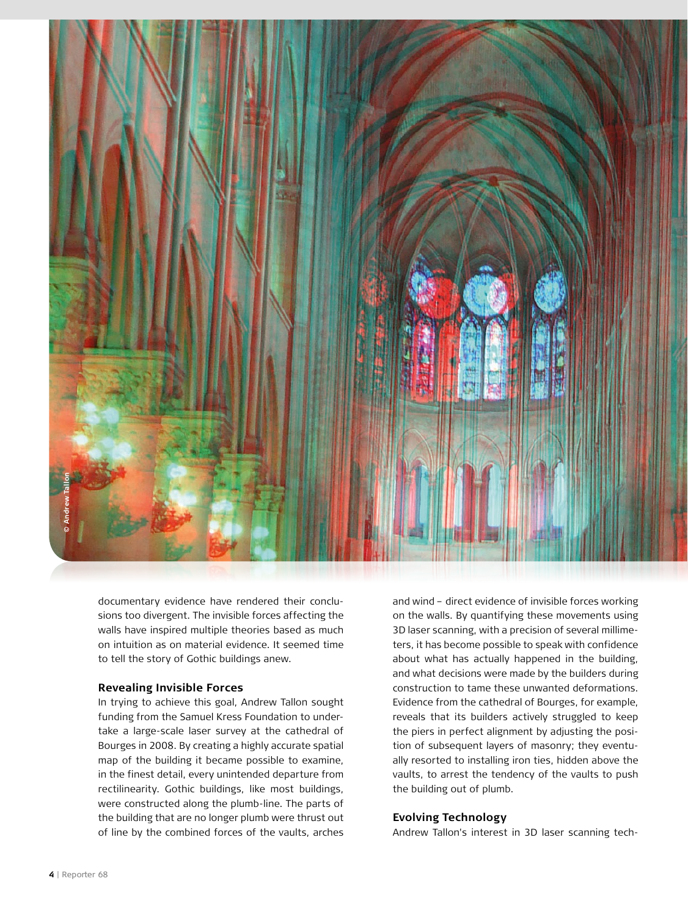

documentary evidence have rendered their conclusions too divergent. The invisible forces affecting the walls have inspired multiple theories based as much on intuition as on material evidence. It seemed time to tell the story of Gothic buildings anew.

### **Revealing Invisible Forces**

In trying to achieve this goal, Andrew Tallon sought funding from the Samuel Kress Foundation to undertake a large-scale laser survey at the cathedral of Bourges in 2008. By creating a highly accurate spatial map of the building it became possible to examine, in the finest detail, every unintended departure from rectilinearity. Gothic buildings, like most buildings, were constructed along the plumb-line. The parts of the building that are no longer plumb were thrust out of line by the combined forces of the vaults, arches

and wind – direct evidence of invisible forces working on the walls. By quantifying these movements using 3D laser scanning, with a precision of several millimeters, it has become possible to speak with confidence about what has actually happened in the building, and what decisions were made by the builders during construction to tame these unwanted deformations. Evidence from the cathedral of Bourges, for example, reveals that its builders actively struggled to keep the piers in perfect alignment by adjusting the position of subsequent layers of masonry; they eventually resorted to installing iron ties, hidden above the vaults, to arrest the tendency of the vaults to push the building out of plumb.

### **Evolving Technology**

Andrew Tallon's interest in 3D laser scanning tech-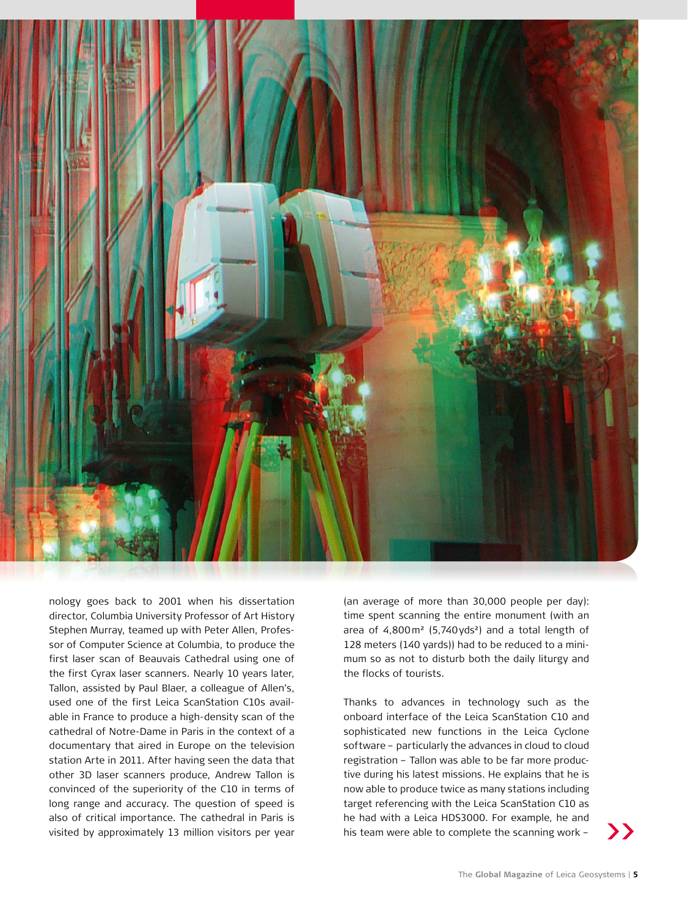

nology goes back to 2001 when his dissertation director, Columbia University Professor of Art History Stephen Murray, teamed up with Peter Allen, Professor of Computer Science at Columbia, to produce the first laser scan of Beauvais Cathedral using one of the first Cyrax laser scanners. Nearly 10 years later, Tallon, assisted by Paul Blaer, a colleague of Allen's, used one of the first Leica ScanStation C10s available in France to produce a high-density scan of the cathedral of Notre-Dame in Paris in the context of a documentary that aired in Europe on the television station Arte in 2011. After having seen the data that other 3D laser scanners produce, Andrew Tallon is convinced of the superiority of the C10 in terms of long range and accuracy. The question of speed is also of critical importance. The cathedral in Paris is visited by approximately 13 million visitors per year his team were able to complete the scanning work -

(an average of more than 30,000 people per day): time spent scanning the entire monument (with an area of 4,800m² (5,740yds²) and a total length of 128 meters (140 yards)) had to be reduced to a minimum so as not to disturb both the daily liturgy and the flocks of tourists.

Thanks to advances in technology such as the onboard interface of the Leica ScanStation C10 and sophisticated new functions in the Leica Cyclone software – particularly the advances in cloud to cloud registration – Tallon was able to be far more productive during his latest missions. He explains that he is now able to produce twice as many stations including target referencing with the Leica ScanStation C10 as he had with a Leica HDS3000. For example, he and his team were able to complete the scanning work –